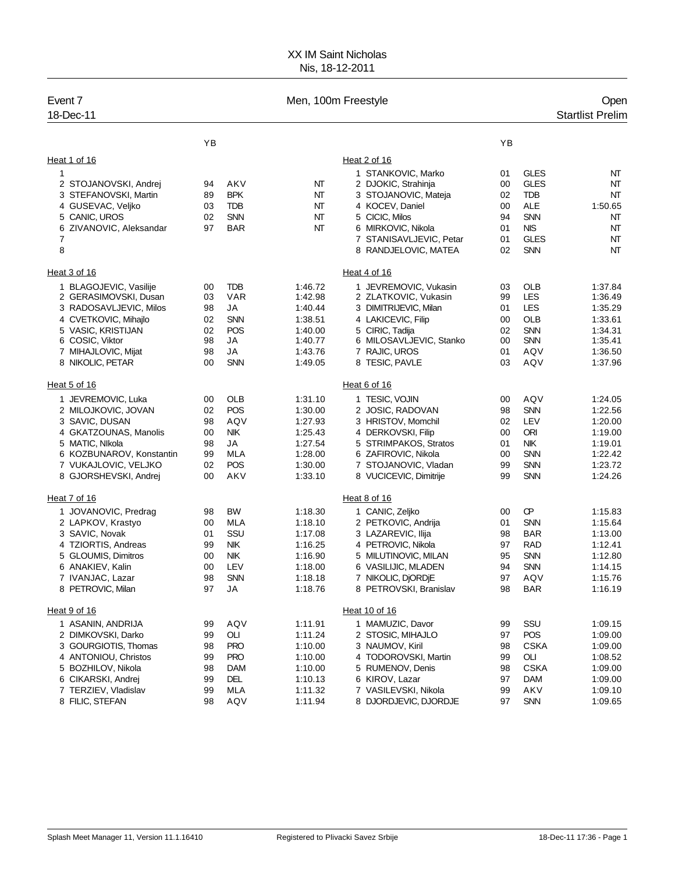## XX IM Saint Nicholas Nis, 18-12-2011

| Event 7<br>18-Dec-11                             |          |                          | Men, 100m Freestyle |                                                 |          |                           | Open<br><b>Startlist Prelim</b> |
|--------------------------------------------------|----------|--------------------------|---------------------|-------------------------------------------------|----------|---------------------------|---------------------------------|
|                                                  | YB       |                          |                     |                                                 | YB       |                           |                                 |
| Heat 1 of 16                                     |          |                          |                     | Heat 2 of 16                                    |          |                           |                                 |
| 1                                                |          |                          |                     | 1 STANKOVIC, Marko                              | 01       | GLES                      | NT                              |
| 2 STOJANOVSKI, Andrej                            | 94       | AKV                      | NT                  | 2 DJOKIC, Strahinja                             | 00       | <b>GLES</b>               | NT                              |
| 3 STEFANOVSKI, Martin                            | 89       | <b>BPK</b>               | NT                  | 3 STOJANOVIC, Mateja                            | 02       | <b>TDB</b>                | NT                              |
| 4 GUSEVAC, Veljko                                | 03       | <b>TDB</b>               | NT                  | 4 KOCEV, Daniel                                 | 00       | <b>ALE</b>                | 1:50.65                         |
| 5 CANIC, UROS                                    | 02       | <b>SNN</b>               | NT                  | 5 CICIC, Milos                                  | 94       | <b>SNN</b>                | NT                              |
| 6 ZIVANOVIC, Aleksandar                          | 97       | <b>BAR</b>               | NT                  | 6 MIRKOVIC, Nikola                              | 01       | <b>NIS</b>                | NT                              |
| 7<br>8                                           |          |                          |                     | 7 STANISAVLJEVIC, Petar<br>8 RANDJELOVIC, MATEA | 01<br>02 | <b>GLES</b><br><b>SNN</b> | NT<br>NT                        |
| Heat 3 of 16                                     |          |                          |                     | Heat 4 of 16                                    |          |                           |                                 |
| 1 BLAGOJEVIC, Vasilije                           | 00       | <b>TDB</b>               | 1:46.72             | 1 JEVREMOVIC, Vukasin                           | 03       | OLB                       | 1:37.84                         |
| 2 GERASIMOVSKI, Dusan                            | 03       | <b>VAR</b>               | 1:42.98             | 2 ZLATKOVIC, Vukasin                            | 99       | LES                       | 1:36.49                         |
| 3 RADOSAVLJEVIC, Milos                           | 98       | JA                       | 1:40.44             | 3 DIMITRIJEVIC, Milan                           | 01       | LES                       | 1:35.29                         |
| 4 CVETKOVIC, Mihajlo                             | 02       | <b>SNN</b>               | 1:38.51             | 4 LAKICEVIC, Filip                              | 00       | <b>OLB</b>                | 1:33.61                         |
| 5 VASIC, KRISTIJAN                               | 02       | <b>POS</b>               | 1:40.00             | 5 CIRIC, Tadija                                 | 02       | <b>SNN</b>                | 1:34.31                         |
| 6 COSIC, Viktor                                  | 98       | JA                       | 1:40.77             | 6 MILOSAVLJEVIC, Stanko                         | 00       | <b>SNN</b>                | 1:35.41                         |
| 7 MIHAJLOVIC, Mijat                              | 98       | JA                       | 1:43.76             | 7 RAJIC, UROS                                   | 01       | AQV                       | 1:36.50                         |
| 8 NIKOLIC, PETAR                                 | 00       | <b>SNN</b>               | 1:49.05             | 8 TESIC, PAVLE                                  | 03       | AQV                       | 1:37.96                         |
| Heat 5 of 16                                     |          |                          |                     | Heat 6 of 16                                    |          |                           |                                 |
| 1 JEVREMOVIC, Luka                               | 00       | OLB                      | 1:31.10             | 1 TESIC, VOJIN                                  | 00       | AQV                       | 1:24.05                         |
| 2 MILOJKOVIC, JOVAN                              | 02       | POS                      | 1:30.00             | 2 JOSIC, RADOVAN                                | 98       | <b>SNN</b>                | 1:22.56                         |
| 3 SAVIC, DUSAN                                   | 98       | AQV                      | 1:27.93             | 3 HRISTOV, Momchil                              | 02       | <b>LEV</b>                | 1:20.00                         |
| 4 GKATZOUNAS, Manolis                            | 00       | <b>NIK</b>               | 1:25.43             | 4 DERKOVSKI, Filip                              | 00       | <b>ORI</b>                | 1:19.00                         |
| 5 MATIC, NIkola                                  | 98       | JA                       | 1:27.54             | 5 STRIMPAKOS, Stratos                           | 01       | <b>NIK</b>                | 1:19.01                         |
| 6 KOZBUNAROV, Konstantin<br>7 VUKAJLOVIC, VELJKO | 99<br>02 | <b>MLA</b><br><b>POS</b> | 1:28.00<br>1:30.00  | 6 ZAFIROVIC, Nikola<br>7 STOJANOVIC, Vladan     | 00<br>99 | <b>SNN</b><br><b>SNN</b>  | 1:22.42<br>1:23.72              |
| 8 GJORSHEVSKI, Andrej                            | 00       | AKV                      | 1:33.10             | 8 VUCICEVIC, Dimitrije                          | 99       | <b>SNN</b>                | 1:24.26                         |
| Heat 7 of 16                                     |          |                          |                     | Heat 8 of 16                                    |          |                           |                                 |
| 1 JOVANOVIC, Predrag                             | 98       | BW                       | 1:18.30             | 1 CANIC, Zeljko                                 | 00       | Œ                         | 1:15.83                         |
| 2 LAPKOV, Krastyo                                | 00       | <b>MLA</b>               | 1:18.10             | 2 PETKOVIC, Andrija                             | 01       | <b>SNN</b>                | 1:15.64                         |
| 3 SAVIC, Novak                                   | 01       | SSU                      | 1:17.08             | 3 LAZAREVIC, Ilija                              | 98       | <b>BAR</b>                | 1:13.00                         |
| 4 TZIORTIS, Andreas                              | 99       | NIK.                     | 1:16.25             | 4 PETROVIC, Nikola                              | 97       | <b>RAD</b>                | 1:12.41                         |
| 5 GLOUMIS, Dimitros                              | 00       | NIK.                     | 1:16.90             | 5 MILUTINOVIC, MILAN                            | 95       | <b>SNN</b>                | 1:12.80                         |
| 6 ANAKIEV, Kalin                                 | 00       | LEV                      | 1:18.00             | 6 VASILIJIC, MLADEN                             | 94       | <b>SNN</b>                | 1:14.15                         |
| 7 IVANJAC, Lazar                                 | 98       | <b>SNN</b>               | 1:18.18             | 7 NIKOLIC, DJORDJE                              | 97       | AQV                       | 1:15.76                         |
| 8 PETROVIC, Milan                                | 97       | JA                       | 1:18.76             | 8 PETROVSKI, Branislav                          | 98       | <b>BAR</b>                | 1:16.19                         |
| Heat 9 of 16                                     |          |                          |                     | Heat 10 of 16                                   |          |                           |                                 |
| 1 ASANIN, ANDRIJA                                | 99       | AQV                      | 1:11.91             | 1 MAMUZIC, Davor                                | 99       | SSU                       | 1:09.15                         |
| 2 DIMKOVSKI, Darko                               | 99       | OLI                      | 1:11.24             | 2 STOSIC, MIHAJLO                               | 97       | POS                       | 1:09.00                         |
| 3 GOURGIOTIS, Thomas                             | 98       | <b>PRO</b>               | 1:10.00             | 3 NAUMOV, Kiril                                 | 98       | <b>CSKA</b>               | 1:09.00                         |
| 4 ANTONIOU, Christos                             | 99       | <b>PRO</b>               | 1:10.00             | 4 TODOROVSKI, Martin                            | 99       | OLI<br><b>CSKA</b>        | 1:08.52                         |
| 5 BOZHILOV, Nikola<br>6 CIKARSKI, Andrej         | 98<br>99 | DAM<br><b>DEL</b>        | 1:10.00<br>1:10.13  | 5 RUMENOV, Denis<br>6 KIROV, Lazar              | 98<br>97 | <b>DAM</b>                | 1:09.00<br>1:09.00              |
| 7 TERZIEV, Vladislav                             | 99       | <b>MLA</b>               | 1:11.32             | 7 VASILEVSKI, Nikola                            | 99       | AKV                       | 1:09.10                         |
| 8 FILIC, STEFAN                                  | 98       | AQV                      | 1:11.94             | 8 DJORDJEVIC, DJORDJE                           | 97       | <b>SNN</b>                | 1:09.65                         |